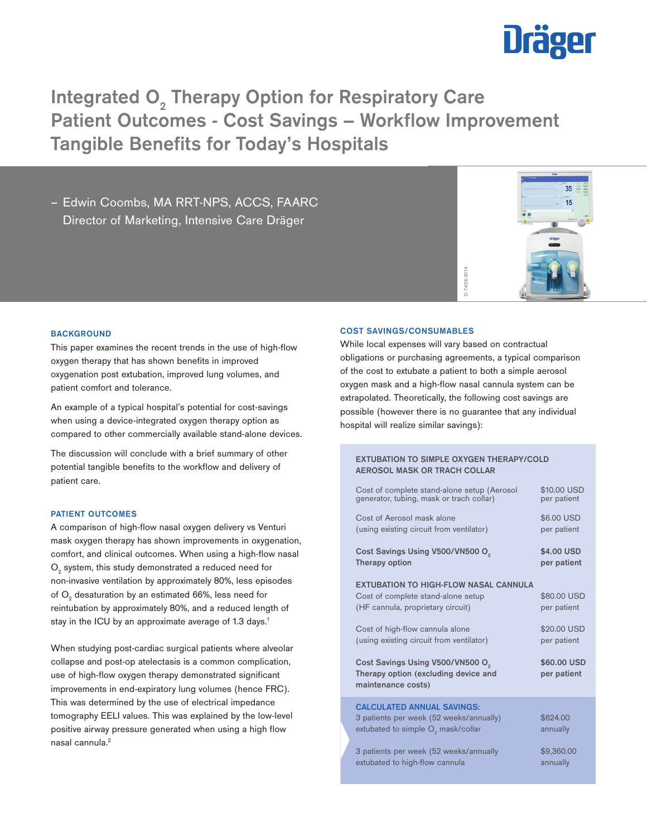

Integrated  $O_2$  Therapy Option for Respiratory Care Patient Outcomes - Cost Savings – Workflow Improvement Tangible Benefits for Today's Hospitals

– Edwin Coombs, MA RRT-NPS, ACCS, FAARC Director of Marketing, Intensive Care Dräger



## **BACKGROUND**

This paper examines the recent trends in the use of high-flow oxygen therapy that has shown benefits in improved oxygenation post extubation, improved lung volumes, and patient comfort and tolerance.

An example of a typical hospital's potential for cost-savings when using a device-integrated oxygen therapy option as compared to other commercially available stand-alone devices.

The discussion will conclude with a brief summary of other potential tangible benefits to the workflow and delivery of patient care.

# PATIENT OUTCOMES

A comparison of high-flow nasal oxygen delivery vs Venturi mask oxygen therapy has shown improvements in oxygenation, comfort, and clinical outcomes. When using a high-flow nasal  $\mathrm{O}_2^{}$  system, this study demonstrated a reduced need for non-invasive ventilation by approximately 80%, less episodes of  $\mathrm{O}_2$  desaturation by an estimated 66%, less need for reintubation by approximately 80%, and a reduced length of stay in the ICU by an approximate average of 1.3 days.<sup>1</sup>

When studying post-cardiac surgical patients where alveolar collapse and post-op atelectasis is a common complication, use of high-flow oxygen therapy demonstrated significant improvements in end-expiratory lung volumes (hence FRC). This was determined by the use of electrical impedance tomography EELI values. This was explained by the low-level positive airway pressure generated when using a high flow nasal cannula.2

## COST SAVINGS/CONSUMABLES

While local expenses will vary based on contractual obligations or purchasing agreements, a typical comparison of the cost to extubate a patient to both a simple aerosol oxygen mask and a high-flow nasal cannula system can be extrapolated. Theoretically, the following cost savings are possible (however there is no guarantee that any individual **COST SAVINGS/CONSUMABLES**<br>
While local expenses will vary base<br>
obligations or purchasing agreemer<br>
of the cost to extubate a patient to t<br>
oxygen mask and a high-flow nasal<br>
extrapolated. Theoretically, the follow<br>
possi

# EXTUBATION TO SIMPLE OXYGEN THERAPY/COLD AEROSOL MASK OR TRACH COLLAR

| Cost of complete stand-alone setup (Aerosol                                                                                    | \$10.00 USD                |
|--------------------------------------------------------------------------------------------------------------------------------|----------------------------|
| generator, tubing, mask or trach collar)                                                                                       | per patient                |
| Cost of Aerosol mask alone                                                                                                     | \$6,00 USD                 |
| (using existing circuit from ventilator)                                                                                       | per patient                |
| Cost Savings Using V500/VN500 O <sub>2</sub>                                                                                   | \$4.00 USD                 |
| Therapy option                                                                                                                 | per patient                |
| <b>EXTUBATION TO HIGH-FLOW NASAL CANNULA</b><br>Cost of complete stand-alone setup<br>(HF cannula, proprietary circuit)        | \$80,00 USD<br>per patient |
| Cost of high-flow cannula alone                                                                                                | \$20.00 USD                |
| (using existing circuit from ventilator)                                                                                       | per patient                |
| Cost Savings Using V500/VN500 O.<br>Therapy option (excluding device and<br>maintenance costs)                                 | \$60.00 USD<br>per patient |
| <b>CALCULATED ANNUAL SAVINGS:</b><br>3 patients per week (52 weeks/annually)<br>extubated to simple O <sub>2</sub> mask/collar | \$624.00<br>annually       |
| 3 patients per week (52 weeks/annually                                                                                         | \$9,360.00                 |
| extubated to high-flow cannula                                                                                                 | annually                   |